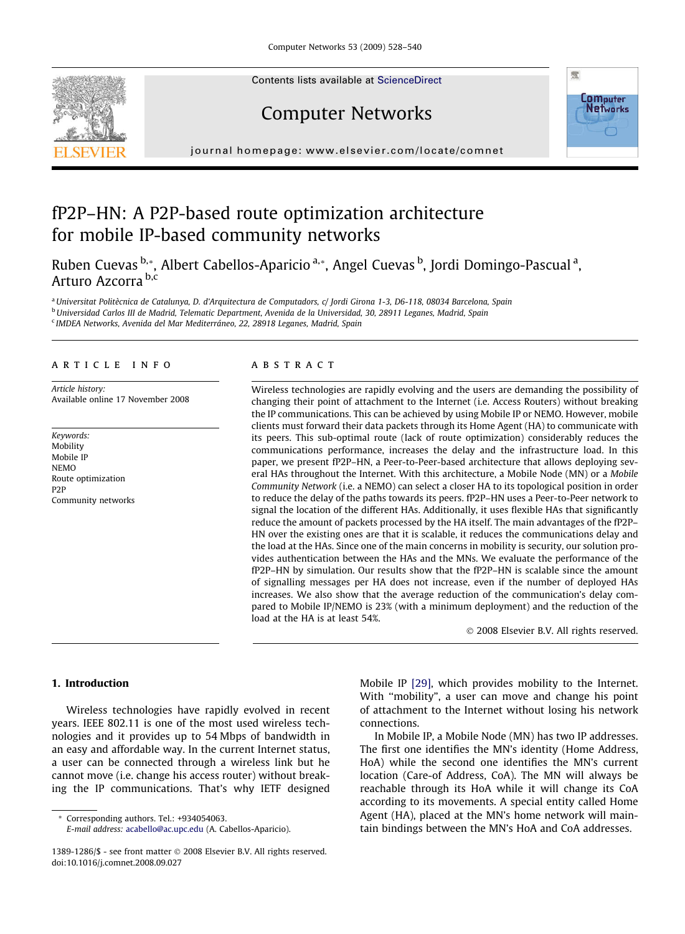Contents lists available at [ScienceDirect](http://www.sciencedirect.com/science/journal/13891286)



# Computer Networks



journal homepage: [www.elsevier.com/locate/comnet](http://www.elsevier.com/locate/comnet)

# fP2P–HN: A P2P-based route optimization architecture for mobile IP-based community networks

Ruben Cuevas <sup>b,</sup>\*, Albert Cabellos-Aparicio <sup>a,</sup>\*, Angel Cuevas <sup>b</sup>, Jordi Domingo-Pascual <sup>a</sup>, Arturo Azcorra b,c

<sup>a</sup> Universitat Politècnica de Catalunya, D. d'Arquitectura de Computadors, c/ Jordi Girona 1-3, D6-118, 08034 Barcelona, Spain <sup>b</sup> Universidad Carlos III de Madrid, Telematic Department, Avenida de la Universidad, 30, 28911 Leganes, Madrid, Spain <sup>c</sup> IMDEA Networks, Avenida del Mar Mediterráneo, 22, 28918 Leganes, Madrid, Spain

### article info

Article history: Available online 17 November 2008

Keywords: Mobility Mobile IP NEMO Route optimization P2P Community networks

## **ABSTRACT**

Wireless technologies are rapidly evolving and the users are demanding the possibility of changing their point of attachment to the Internet (i.e. Access Routers) without breaking the IP communications. This can be achieved by using Mobile IP or NEMO. However, mobile clients must forward their data packets through its Home Agent (HA) to communicate with its peers. This sub-optimal route (lack of route optimization) considerably reduces the communications performance, increases the delay and the infrastructure load. In this paper, we present fP2P–HN, a Peer-to-Peer-based architecture that allows deploying several HAs throughout the Internet. With this architecture, a Mobile Node (MN) or a Mobile Community Network (i.e. a NEMO) can select a closer HA to its topological position in order to reduce the delay of the paths towards its peers. fP2P–HN uses a Peer-to-Peer network to signal the location of the different HAs. Additionally, it uses flexible HAs that significantly reduce the amount of packets processed by the HA itself. The main advantages of the fP2P– HN over the existing ones are that it is scalable, it reduces the communications delay and the load at the HAs. Since one of the main concerns in mobility is security, our solution provides authentication between the HAs and the MNs. We evaluate the performance of the fP2P–HN by simulation. Our results show that the fP2P–HN is scalable since the amount of signalling messages per HA does not increase, even if the number of deployed HAs increases. We also show that the average reduction of the communication's delay compared to Mobile IP/NEMO is 23% (with a minimum deployment) and the reduction of the load at the HA is at least 54%.

© 2008 Elsevier B.V. All rights reserved.

## 1. Introduction

Wireless technologies have rapidly evolved in recent years. IEEE 802.11 is one of the most used wireless technologies and it provides up to 54 Mbps of bandwidth in an easy and affordable way. In the current Internet status, a user can be connected through a wireless link but he cannot move (i.e. change his access router) without breaking the IP communications. That's why IETF designed

\* Corresponding authors. Tel.: +934054063.

E-mail address: [acabello@ac.upc.edu](mailto:acabello@ac.upc.edu) (A. Cabellos-Aparicio).

Mobile IP [\[29\],](#page-12-0) which provides mobility to the Internet. With ''mobility", a user can move and change his point of attachment to the Internet without losing his network connections.

In Mobile IP, a Mobile Node (MN) has two IP addresses. The first one identifies the MN's identity (Home Address, HoA) while the second one identifies the MN's current location (Care-of Address, CoA). The MN will always be reachable through its HoA while it will change its CoA according to its movements. A special entity called Home Agent (HA), placed at the MN's home network will maintain bindings between the MN's HoA and CoA addresses.

<sup>1389-1286/\$ -</sup> see front matter  $\odot$  2008 Elsevier B.V. All rights reserved. doi:10.1016/j.comnet.2008.09.027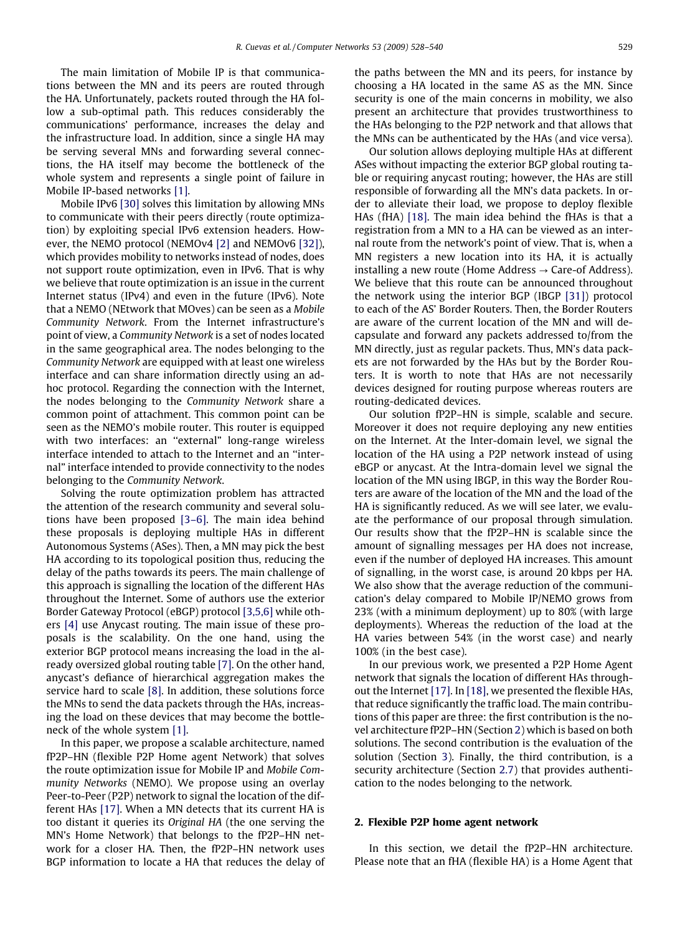The main limitation of Mobile IP is that communications between the MN and its peers are routed through the HA. Unfortunately, packets routed through the HA follow a sub-optimal path. This reduces considerably the communications' performance, increases the delay and the infrastructure load. In addition, since a single HA may be serving several MNs and forwarding several connections, the HA itself may become the bottleneck of the whole system and represents a single point of failure in Mobile IP-based networks [\[1\]](#page-11-0).

Mobile IPv6 [\[30\]](#page-12-0) solves this limitation by allowing MNs to communicate with their peers directly (route optimization) by exploiting special IPv6 extension headers. However, the NEMO protocol (NEMOv4 [\[2\]](#page-11-0) and NEMOv6 [\[32\]](#page-12-0)), which provides mobility to networks instead of nodes, does not support route optimization, even in IPv6. That is why we believe that route optimization is an issue in the current Internet status (IPv4) and even in the future (IPv6). Note that a NEMO (NEtwork that MOves) can be seen as a Mobile Community Network. From the Internet infrastructure's point of view, a Community Network is a set of nodes located in the same geographical area. The nodes belonging to the Community Network are equipped with at least one wireless interface and can share information directly using an adhoc protocol. Regarding the connection with the Internet, the nodes belonging to the Community Network share a common point of attachment. This common point can be seen as the NEMO's mobile router. This router is equipped with two interfaces: an "external" long-range wireless interface intended to attach to the Internet and an ''internal" interface intended to provide connectivity to the nodes belonging to the Community Network.

Solving the route optimization problem has attracted the attention of the research community and several solutions have been proposed [\[3–6\].](#page-11-0) The main idea behind these proposals is deploying multiple HAs in different Autonomous Systems (ASes). Then, a MN may pick the best HA according to its topological position thus, reducing the delay of the paths towards its peers. The main challenge of this approach is signalling the location of the different HAs throughout the Internet. Some of authors use the exterior Border Gateway Protocol (eBGP) protocol [\[3,5,6\]](#page-11-0) while others [\[4\]](#page-11-0) use Anycast routing. The main issue of these proposals is the scalability. On the one hand, using the exterior BGP protocol means increasing the load in the already oversized global routing table [\[7\]](#page-11-0). On the other hand, anycast's defiance of hierarchical aggregation makes the service hard to scale [\[8\]](#page-11-0). In addition, these solutions force the MNs to send the data packets through the HAs, increasing the load on these devices that may become the bottleneck of the whole system [\[1\].](#page-11-0)

In this paper, we propose a scalable architecture, named fP2P–HN (flexible P2P Home agent Network) that solves the route optimization issue for Mobile IP and Mobile Community Networks (NEMO). We propose using an overlay Peer-to-Peer (P2P) network to signal the location of the different HAs [\[17\]](#page-11-0). When a MN detects that its current HA is too distant it queries its Original HA (the one serving the MN's Home Network) that belongs to the fP2P–HN network for a closer HA. Then, the fP2P–HN network uses BGP information to locate a HA that reduces the delay of the paths between the MN and its peers, for instance by choosing a HA located in the same AS as the MN. Since security is one of the main concerns in mobility, we also present an architecture that provides trustworthiness to the HAs belonging to the P2P network and that allows that the MNs can be authenticated by the HAs (and vice versa).

Our solution allows deploying multiple HAs at different ASes without impacting the exterior BGP global routing table or requiring anycast routing; however, the HAs are still responsible of forwarding all the MN's data packets. In order to alleviate their load, we propose to deploy flexible HAs (fHA) [\[18\].](#page-11-0) The main idea behind the fHAs is that a registration from a MN to a HA can be viewed as an internal route from the network's point of view. That is, when a MN registers a new location into its HA, it is actually installing a new route (Home Address  $\rightarrow$  Care-of Address). We believe that this route can be announced throughout the network using the interior BGP (IBGP [\[31\]\)](#page-12-0) protocol to each of the AS' Border Routers. Then, the Border Routers are aware of the current location of the MN and will decapsulate and forward any packets addressed to/from the MN directly, just as regular packets. Thus, MN's data packets are not forwarded by the HAs but by the Border Routers. It is worth to note that HAs are not necessarily devices designed for routing purpose whereas routers are routing-dedicated devices.

Our solution fP2P–HN is simple, scalable and secure. Moreover it does not require deploying any new entities on the Internet. At the Inter-domain level, we signal the location of the HA using a P2P network instead of using eBGP or anycast. At the Intra-domain level we signal the location of the MN using IBGP, in this way the Border Routers are aware of the location of the MN and the load of the HA is significantly reduced. As we will see later, we evaluate the performance of our proposal through simulation. Our results show that the fP2P–HN is scalable since the amount of signalling messages per HA does not increase, even if the number of deployed HA increases. This amount of signalling, in the worst case, is around 20 kbps per HA. We also show that the average reduction of the communication's delay compared to Mobile IP/NEMO grows from 23% (with a minimum deployment) up to 80% (with large deployments). Whereas the reduction of the load at the HA varies between 54% (in the worst case) and nearly 100% (in the best case).

In our previous work, we presented a P2P Home Agent network that signals the location of different HAs throughout the Internet [\[17\]](#page-11-0). In [\[18\],](#page-11-0) we presented the flexible HAs, that reduce significantly the traffic load. The main contributions of this paper are three: the first contribution is the novel architecture fP2P–HN (Section 2) which is based on both solutions. The second contribution is the evaluation of the solution (Section 3). Finally, the third contribution, is a security architecture (Section 2.7) that provides authentication to the nodes belonging to the network.

## 2. Flexible P2P home agent network

In this section, we detail the fP2P–HN architecture. Please note that an fHA (flexible HA) is a Home Agent that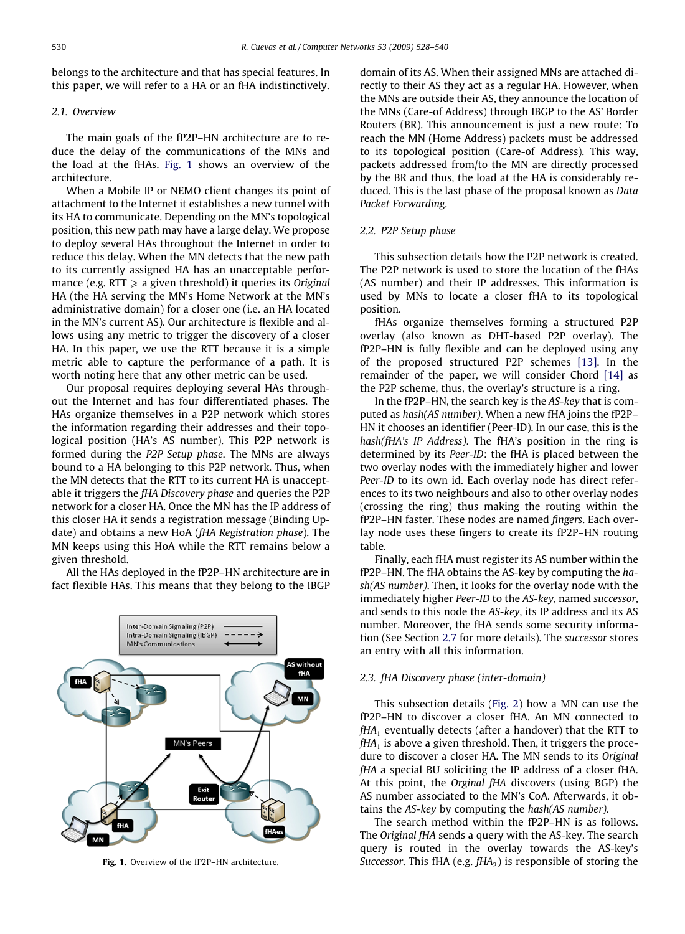belongs to the architecture and that has special features. In this paper, we will refer to a HA or an fHA indistinctively.

# 2.1. Overview

The main goals of the fP2P–HN architecture are to reduce the delay of the communications of the MNs and the load at the fHAs. Fig. 1 shows an overview of the architecture.

When a Mobile IP or NEMO client changes its point of attachment to the Internet it establishes a new tunnel with its HA to communicate. Depending on the MN's topological position, this new path may have a large delay. We propose to deploy several HAs throughout the Internet in order to reduce this delay. When the MN detects that the new path to its currently assigned HA has an unacceptable performance (e.g. RTT  $\ge a$  given threshold) it queries its Original HA (the HA serving the MN's Home Network at the MN's administrative domain) for a closer one (i.e. an HA located in the MN's current AS). Our architecture is flexible and allows using any metric to trigger the discovery of a closer HA. In this paper, we use the RTT because it is a simple metric able to capture the performance of a path. It is worth noting here that any other metric can be used.

Our proposal requires deploying several HAs throughout the Internet and has four differentiated phases. The HAs organize themselves in a P2P network which stores the information regarding their addresses and their topological position (HA's AS number). This P2P network is formed during the P2P Setup phase. The MNs are always bound to a HA belonging to this P2P network. Thus, when the MN detects that the RTT to its current HA is unacceptable it triggers the fHA Discovery phase and queries the P2P network for a closer HA. Once the MN has the IP address of this closer HA it sends a registration message (Binding Update) and obtains a new HoA (fHA Registration phase). The MN keeps using this HoA while the RTT remains below a given threshold.

All the HAs deployed in the fP2P–HN architecture are in fact flexible HAs. This means that they belong to the IBGP



domain of its AS. When their assigned MNs are attached directly to their AS they act as a regular HA. However, when the MNs are outside their AS, they announce the location of the MNs (Care-of Address) through IBGP to the AS' Border Routers (BR). This announcement is just a new route: To reach the MN (Home Address) packets must be addressed to its topological position (Care-of Address). This way, packets addressed from/to the MN are directly processed by the BR and thus, the load at the HA is considerably reduced. This is the last phase of the proposal known as Data Packet Forwarding.

### 2.2. P2P Setup phase

This subsection details how the P2P network is created. The P2P network is used to store the location of the fHAs (AS number) and their IP addresses. This information is used by MNs to locate a closer fHA to its topological position.

fHAs organize themselves forming a structured P2P overlay (also known as DHT-based P2P overlay). The fP2P–HN is fully flexible and can be deployed using any of the proposed structured P2P schemes [13]. In the remainder of the paper, we will consider Chord [14] as the P2P scheme, thus, the overlay's structure is a ring.

In the fP2P–HN, the search key is the AS-key that is computed as hash(AS number). When a new fHA joins the fP2P– HN it chooses an identifier (Peer-ID). In our case, this is the hash(fHA's IP Address). The fHA's position in the ring is determined by its Peer-ID: the fHA is placed between the two overlay nodes with the immediately higher and lower Peer-ID to its own id. Each overlay node has direct references to its two neighbours and also to other overlay nodes (crossing the ring) thus making the routing within the fP2P–HN faster. These nodes are named fingers. Each overlay node uses these fingers to create its fP2P–HN routing table.

Finally, each fHA must register its AS number within the fP2P–HN. The fHA obtains the AS-key by computing the hash(AS number). Then, it looks for the overlay node with the immediately higher Peer-ID to the AS-key, named successor, and sends to this node the AS-key, its IP address and its AS number. Moreover, the fHA sends some security information (See Section 2.7 for more details). The successor stores an entry with all this information.

## 2.3. fHA Discovery phase (inter-domain)

This subsection details [\(Fig. 2](#page-3-0)) how a MN can use the fP2P–HN to discover a closer fHA. An MN connected to  $fHA_1$  eventually detects (after a handover) that the RTT to  $f<sub>H</sub>A<sub>1</sub>$  is above a given threshold. Then, it triggers the procedure to discover a closer HA. The MN sends to its Original fHA a special BU soliciting the IP address of a closer fHA. At this point, the Orginal fHA discovers (using BGP) the AS number associated to the MN's CoA. Afterwards, it obtains the AS-key by computing the hash(AS number).

The search method within the fP2P–HN is as follows. The Original fHA sends a query with the AS-key. The search query is routed in the overlay towards the AS-key's **Fig. 1.** Overview of the fP2P–HN architecture.  $\qquad \qquad$  Successor. This fHA (e.g. *fHA*<sub>2</sub>) is responsible of storing the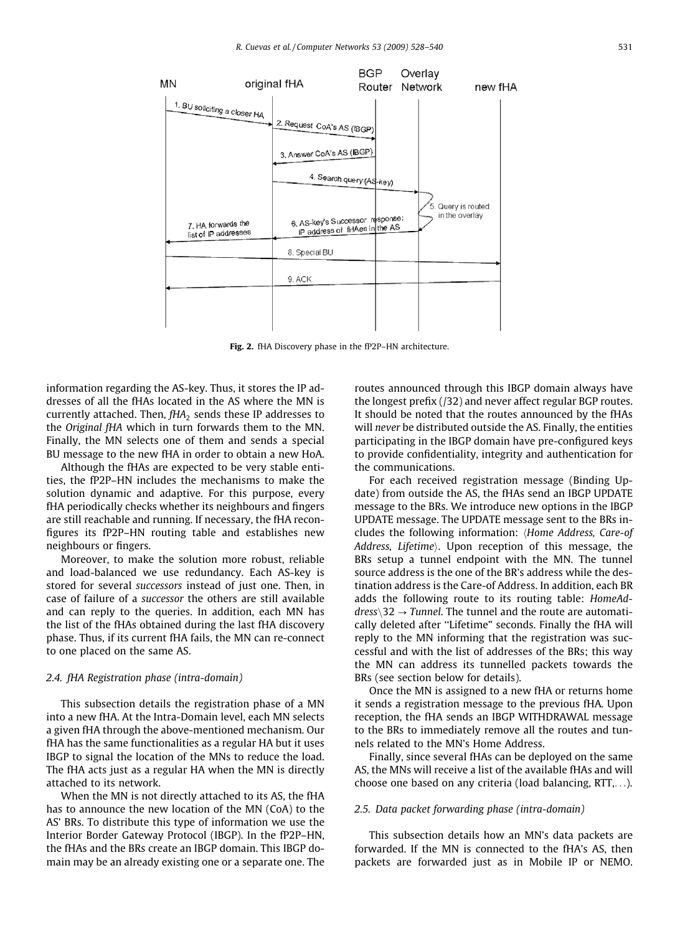<span id="page-3-0"></span>

Fig. 2. fHA Discovery phase in the fP2P-HN architecture.

information regarding the AS-key. Thus, it stores the IP addresses of all the fHAs located in the AS where the MN is currently attached. Then,  $fHA<sub>2</sub>$  sends these IP addresses to the Original fHA which in turn forwards them to the MN. Finally, the MN selects one of them and sends a special BU message to the new fHA in order to obtain a new HoA.

Although the fHAs are expected to be very stable entities, the fP2P–HN includes the mechanisms to make the solution dynamic and adaptive. For this purpose, every fHA periodically checks whether its neighbours and fingers are still reachable and running. If necessary, the fHA reconfigures its fP2P–HN routing table and establishes new neighbours or fingers.

Moreover, to make the solution more robust, reliable and load-balanced we use redundancy. Each AS-key is stored for several successors instead of just one. Then, in case of failure of a successor the others are still available and can reply to the queries. In addition, each MN has the list of the fHAs obtained during the last fHA discovery phase. Thus, if its current fHA fails, the MN can re-connect to one placed on the same AS.

#### 2.4. fHA Registration phase (intra-domain)

This subsection details the registration phase of a MN into a new fHA. At the Intra-Domain level, each MN selects a given fHA through the above-mentioned mechanism. Our fHA has the same functionalities as a regular HA but it uses IBGP to signal the location of the MNs to reduce the load. The fHA acts just as a regular HA when the MN is directly attached to its network.

When the MN is not directly attached to its AS, the fHA has to announce the new location of the MN (CoA) to the AS' BRs. To distribute this type of information we use the Interior Border Gateway Protocol (IBGP). In the fP2P–HN, the fHAs and the BRs create an IBGP domain. This IBGP domain may be an already existing one or a separate one. The

routes announced through this IBGP domain always have the longest prefix (/32) and never affect regular BGP routes. It should be noted that the routes announced by the fHAs will never be distributed outside the AS. Finally, the entities participating in the IBGP domain have pre-configured keys to provide confidentiality, integrity and authentication for the communications.

For each received registration message (Binding Update) from outside the AS, the fHAs send an IBGP UPDATE message to the BRs. We introduce new options in the IBGP UPDATE message. The UPDATE message sent to the BRs includes the following information: (Home Address, Care-of Address, Lifetime). Upon reception of this message, the BRs setup a tunnel endpoint with the MN. The tunnel source address is the one of the BR's address while the destination address is the Care-of Address. In addition, each BR adds the following route to its routing table: HomeAd $dress\&32 \rightarrow Tunnel$ . The tunnel and the route are automatically deleted after ''Lifetime" seconds. Finally the fHA will reply to the MN informing that the registration was successful and with the list of addresses of the BRs; this way the MN can address its tunnelled packets towards the BRs (see section below for details).

Once the MN is assigned to a new fHA or returns home it sends a registration message to the previous fHA. Upon reception, the fHA sends an IBGP WITHDRAWAL message to the BRs to immediately remove all the routes and tunnels related to the MN's Home Address.

Finally, since several fHAs can be deployed on the same AS, the MNs will receive a list of the available fHAs and will choose one based on any criteria (load balancing, RTT,...).

### 2.5. Data packet forwarding phase (intra-domain)

This subsection details how an MN's data packets are forwarded. If the MN is connected to the fHA's AS, then packets are forwarded just as in Mobile IP or NEMO.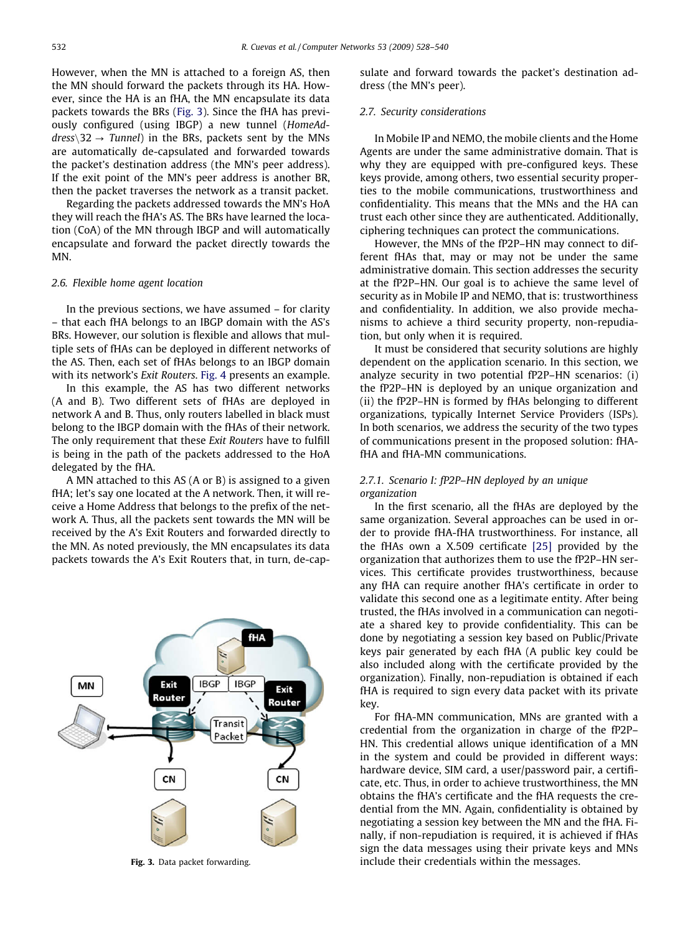However, when the MN is attached to a foreign AS, then the MN should forward the packets through its HA. However, since the HA is an fHA, the MN encapsulate its data packets towards the BRs (Fig. 3). Since the fHA has previously configured (using IBGP) a new tunnel (HomeAd $dress\32 \rightarrow Tunnel$ ) in the BRs, packets sent by the MNs are automatically de-capsulated and forwarded towards the packet's destination address (the MN's peer address). If the exit point of the MN's peer address is another BR, then the packet traverses the network as a transit packet.

Regarding the packets addressed towards the MN's HoA they will reach the fHA's AS. The BRs have learned the location (CoA) of the MN through IBGP and will automatically encapsulate and forward the packet directly towards the MN.

#### 2.6. Flexible home agent location

In the previous sections, we have assumed – for clarity – that each fHA belongs to an IBGP domain with the AS's BRs. However, our solution is flexible and allows that multiple sets of fHAs can be deployed in different networks of the AS. Then, each set of fHAs belongs to an IBGP domain with its network's Exit Routers. [Fig. 4](#page-5-0) presents an example.

In this example, the AS has two different networks (A and B). Two different sets of fHAs are deployed in network A and B. Thus, only routers labelled in black must belong to the IBGP domain with the fHAs of their network. The only requirement that these Exit Routers have to fulfill is being in the path of the packets addressed to the HoA delegated by the fHA.

A MN attached to this AS (A or B) is assigned to a given fHA; let's say one located at the A network. Then, it will receive a Home Address that belongs to the prefix of the network A. Thus, all the packets sent towards the MN will be received by the A's Exit Routers and forwarded directly to the MN. As noted previously, the MN encapsulates its data packets towards the A's Exit Routers that, in turn, de-cap-



sulate and forward towards the packet's destination address (the MN's peer).

## 2.7. Security considerations

In Mobile IP and NEMO, the mobile clients and the Home Agents are under the same administrative domain. That is why they are equipped with pre-configured keys. These keys provide, among others, two essential security properties to the mobile communications, trustworthiness and confidentiality. This means that the MNs and the HA can trust each other since they are authenticated. Additionally, ciphering techniques can protect the communications.

However, the MNs of the fP2P–HN may connect to different fHAs that, may or may not be under the same administrative domain. This section addresses the security at the fP2P–HN. Our goal is to achieve the same level of security as in Mobile IP and NEMO, that is: trustworthiness and confidentiality. In addition, we also provide mechanisms to achieve a third security property, non-repudiation, but only when it is required.

It must be considered that security solutions are highly dependent on the application scenario. In this section, we analyze security in two potential fP2P–HN scenarios: (i) the fP2P–HN is deployed by an unique organization and (ii) the fP2P–HN is formed by fHAs belonging to different organizations, typically Internet Service Providers (ISPs). In both scenarios, we address the security of the two types of communications present in the proposed solution: fHAfHA and fHA-MN communications.

## 2.7.1. Scenario I: fP2P–HN deployed by an unique organization

In the first scenario, all the fHAs are deployed by the same organization. Several approaches can be used in order to provide fHA-fHA trustworthiness. For instance, all the fHAs own a X.509 certificate [\[25\]](#page-12-0) provided by the organization that authorizes them to use the fP2P–HN services. This certificate provides trustworthiness, because any fHA can require another fHA's certificate in order to validate this second one as a legitimate entity. After being trusted, the fHAs involved in a communication can negotiate a shared key to provide confidentiality. This can be done by negotiating a session key based on Public/Private keys pair generated by each fHA (A public key could be also included along with the certificate provided by the organization). Finally, non-repudiation is obtained if each fHA is required to sign every data packet with its private key.

For fHA-MN communication, MNs are granted with a credential from the organization in charge of the fP2P– HN. This credential allows unique identification of a MN in the system and could be provided in different ways: hardware device, SIM card, a user/password pair, a certificate, etc. Thus, in order to achieve trustworthiness, the MN obtains the fHA's certificate and the fHA requests the credential from the MN. Again, confidentiality is obtained by negotiating a session key between the MN and the fHA. Finally, if non-repudiation is required, it is achieved if fHAs sign the data messages using their private keys and MNs Fig. 3. Data packet forwarding. The same state of the messages include their credentials within the messages.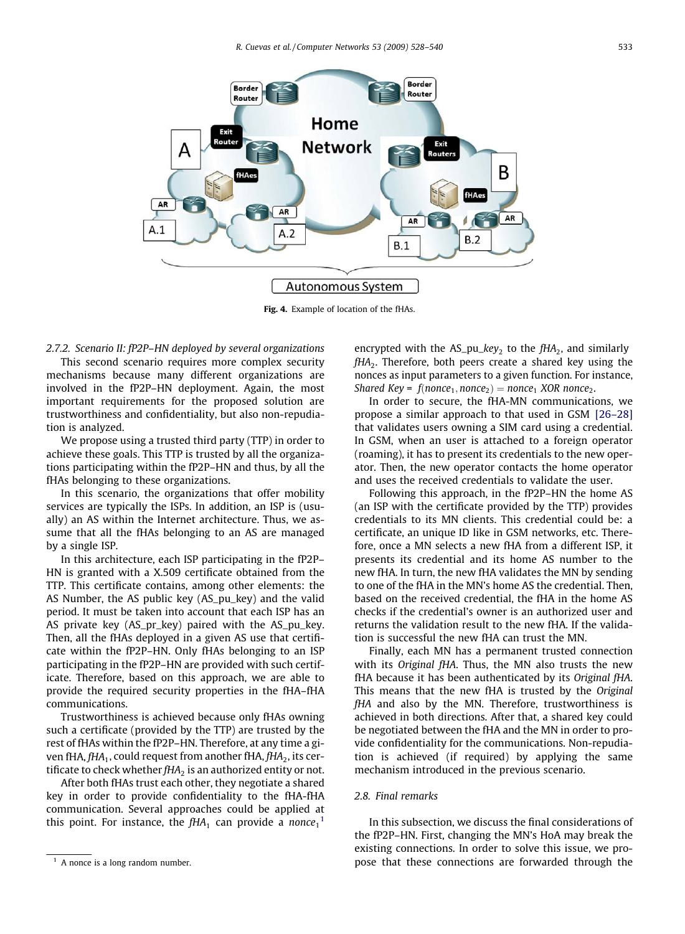<span id="page-5-0"></span>

Fig. 4. Example of location of the fHAs.

2.7.2. Scenario II: fP2P–HN deployed by several organizations

This second scenario requires more complex security mechanisms because many different organizations are involved in the fP2P–HN deployment. Again, the most important requirements for the proposed solution are trustworthiness and confidentiality, but also non-repudiation is analyzed.

We propose using a trusted third party (TTP) in order to achieve these goals. This TTP is trusted by all the organizations participating within the fP2P–HN and thus, by all the fHAs belonging to these organizations.

In this scenario, the organizations that offer mobility services are typically the ISPs. In addition, an ISP is (usually) an AS within the Internet architecture. Thus, we assume that all the fHAs belonging to an AS are managed by a single ISP.

In this architecture, each ISP participating in the fP2P– HN is granted with a X.509 certificate obtained from the TTP. This certificate contains, among other elements: the AS Number, the AS public key (AS\_pu\_key) and the valid period. It must be taken into account that each ISP has an AS private key (AS\_pr\_key) paired with the AS\_pu\_key. Then, all the fHAs deployed in a given AS use that certificate within the fP2P–HN. Only fHAs belonging to an ISP participating in the fP2P–HN are provided with such certificate. Therefore, based on this approach, we are able to provide the required security properties in the fHA–fHA communications.

Trustworthiness is achieved because only fHAs owning such a certificate (provided by the TTP) are trusted by the rest of fHAs within the fP2P–HN. Therefore, at any time a given fHA,  $fHA_1$ , could request from another fHA,  $fHA_2$ , its certificate to check whether  $fHA_2$  is an authorized entity or not.

After both fHAs trust each other, they negotiate a shared key in order to provide confidentiality to the fHA-fHA communication. Several approaches could be applied at this point. For instance, the  $fHA_1$  can provide a nonce $_1$ <sup>1</sup>

encrypted with the AS\_pu\_key<sub>2</sub> to the  $fHA_2$ , and similarly  $f<sub>H</sub>A<sub>2</sub>$ . Therefore, both peers create a shared key using the nonces as input parameters to a given function. For instance, Shared Key =  $f($ nonce<sub>1</sub>, nonce<sub>2</sub> $)$  = nonce<sub>1</sub> XOR nonce<sub>2</sub>.

In order to secure, the fHA-MN communications, we propose a similar approach to that used in GSM [\[26–28\]](#page-12-0) that validates users owning a SIM card using a credential. In GSM, when an user is attached to a foreign operator (roaming), it has to present its credentials to the new operator. Then, the new operator contacts the home operator and uses the received credentials to validate the user.

Following this approach, in the fP2P–HN the home AS (an ISP with the certificate provided by the TTP) provides credentials to its MN clients. This credential could be: a certificate, an unique ID like in GSM networks, etc. Therefore, once a MN selects a new fHA from a different ISP, it presents its credential and its home AS number to the new fHA. In turn, the new fHA validates the MN by sending to one of the fHA in the MN's home AS the credential. Then, based on the received credential, the fHA in the home AS checks if the credential's owner is an authorized user and returns the validation result to the new fHA. If the validation is successful the new fHA can trust the MN.

Finally, each MN has a permanent trusted connection with its Original fHA. Thus, the MN also trusts the new fHA because it has been authenticated by its Original fHA. This means that the new fHA is trusted by the Original fHA and also by the MN. Therefore, trustworthiness is achieved in both directions. After that, a shared key could be negotiated between the fHA and the MN in order to provide confidentiality for the communications. Non-repudiation is achieved (if required) by applying the same mechanism introduced in the previous scenario.

### 2.8. Final remarks

In this subsection, we discuss the final considerations of the fP2P–HN. First, changing the MN's HoA may break the existing connections. In order to solve this issue, we propose that these connections are forwarded through the

 $<sup>1</sup>$  A nonce is a long random number.</sup>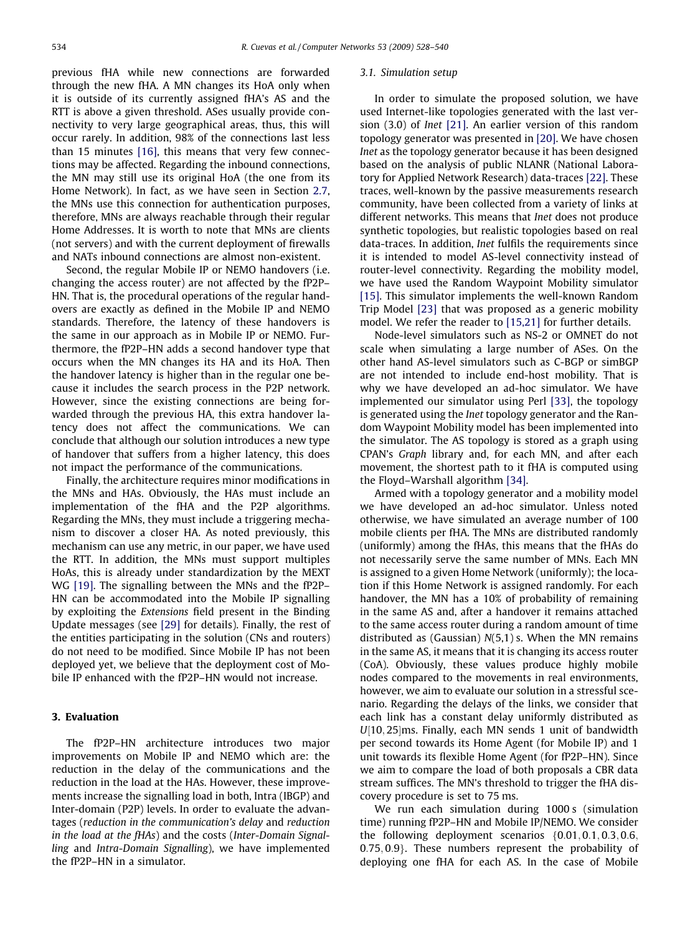previous fHA while new connections are forwarded through the new fHA. A MN changes its HoA only when it is outside of its currently assigned fHA's AS and the RTT is above a given threshold. ASes usually provide connectivity to very large geographical areas, thus, this will occur rarely. In addition, 98% of the connections last less than 15 minutes [\[16\],](#page-11-0) this means that very few connections may be affected. Regarding the inbound connections, the MN may still use its original HoA (the one from its Home Network). In fact, as we have seen in Section 2.7, the MNs use this connection for authentication purposes, therefore, MNs are always reachable through their regular Home Addresses. It is worth to note that MNs are clients (not servers) and with the current deployment of firewalls and NATs inbound connections are almost non-existent.

Second, the regular Mobile IP or NEMO handovers (i.e. changing the access router) are not affected by the fP2P– HN. That is, the procedural operations of the regular handovers are exactly as defined in the Mobile IP and NEMO standards. Therefore, the latency of these handovers is the same in our approach as in Mobile IP or NEMO. Furthermore, the fP2P–HN adds a second handover type that occurs when the MN changes its HA and its HoA. Then the handover latency is higher than in the regular one because it includes the search process in the P2P network. However, since the existing connections are being forwarded through the previous HA, this extra handover latency does not affect the communications. We can conclude that although our solution introduces a new type of handover that suffers from a higher latency, this does not impact the performance of the communications.

Finally, the architecture requires minor modifications in the MNs and HAs. Obviously, the HAs must include an implementation of the fHA and the P2P algorithms. Regarding the MNs, they must include a triggering mechanism to discover a closer HA. As noted previously, this mechanism can use any metric, in our paper, we have used the RTT. In addition, the MNs must support multiples HoAs, this is already under standardization by the MEXT WG [\[19\]](#page-11-0). The signalling between the MNs and the fP2P– HN can be accommodated into the Mobile IP signalling by exploiting the Extensions field present in the Binding Update messages (see [\[29\]](#page-12-0) for details). Finally, the rest of the entities participating in the solution (CNs and routers) do not need to be modified. Since Mobile IP has not been deployed yet, we believe that the deployment cost of Mobile IP enhanced with the fP2P–HN would not increase.

# 3. Evaluation

The fP2P–HN architecture introduces two major improvements on Mobile IP and NEMO which are: the reduction in the delay of the communications and the reduction in the load at the HAs. However, these improvements increase the signalling load in both, Intra (IBGP) and Inter-domain (P2P) levels. In order to evaluate the advantages (reduction in the communication's delay and reduction in the load at the fHAs) and the costs (Inter-Domain Signalling and Intra-Domain Signalling), we have implemented the fP2P–HN in a simulator.

## 3.1. Simulation setup

In order to simulate the proposed solution, we have used Internet-like topologies generated with the last version (3.0) of Inet [\[21\].](#page-11-0) An earlier version of this random topology generator was presented in [\[20\].](#page-11-0) We have chosen Inet as the topology generator because it has been designed based on the analysis of public NLANR (National Laboratory for Applied Network Research) data-traces [\[22\].](#page-11-0) These traces, well-known by the passive measurements research community, have been collected from a variety of links at different networks. This means that Inet does not produce synthetic topologies, but realistic topologies based on real data-traces. In addition, Inet fulfils the requirements since it is intended to model AS-level connectivity instead of router-level connectivity. Regarding the mobility model, we have used the Random Waypoint Mobility simulator [\[15\].](#page-11-0) This simulator implements the well-known Random Trip Model [\[23\]](#page-11-0) that was proposed as a generic mobility model. We refer the reader to [\[15,21\]](#page-11-0) for further details.

Node-level simulators such as NS-2 or OMNET do not scale when simulating a large number of ASes. On the other hand AS-level simulators such as C-BGP or simBGP are not intended to include end-host mobility. That is why we have developed an ad-hoc simulator. We have implemented our simulator using Perl [\[33\]](#page-12-0), the topology is generated using the Inet topology generator and the Random Waypoint Mobility model has been implemented into the simulator. The AS topology is stored as a graph using CPAN's Graph library and, for each MN, and after each movement, the shortest path to it fHA is computed using the Floyd–Warshall algorithm [\[34\]](#page-12-0).

Armed with a topology generator and a mobility model we have developed an ad-hoc simulator. Unless noted otherwise, we have simulated an average number of 100 mobile clients per fHA. The MNs are distributed randomly (uniformly) among the fHAs, this means that the fHAs do not necessarily serve the same number of MNs. Each MN is assigned to a given Home Network (uniformly); the location if this Home Network is assigned randomly. For each handover, the MN has a 10% of probability of remaining in the same AS and, after a handover it remains attached to the same access router during a random amount of time distributed as (Gaussian)  $N(5,1)$  s. When the MN remains in the same AS, it means that it is changing its access router (CoA). Obviously, these values produce highly mobile nodes compared to the movements in real environments, however, we aim to evaluate our solution in a stressful scenario. Regarding the delays of the links, we consider that each link has a constant delay uniformly distributed as  $U[10, 25]$ ms. Finally, each MN sends 1 unit of bandwidth per second towards its Home Agent (for Mobile IP) and 1 unit towards its flexible Home Agent (for fP2P–HN). Since we aim to compare the load of both proposals a CBR data stream suffices. The MN's threshold to trigger the fHA discovery procedure is set to 75 ms.

We run each simulation during 1000 s (simulation time) running fP2P–HN and Mobile IP/NEMO. We consider the following deployment scenarios  ${0.01, 0.1, 0.3, 0.6}$ ,  $0.75, 0.9$ . These numbers represent the probability of deploying one fHA for each AS. In the case of Mobile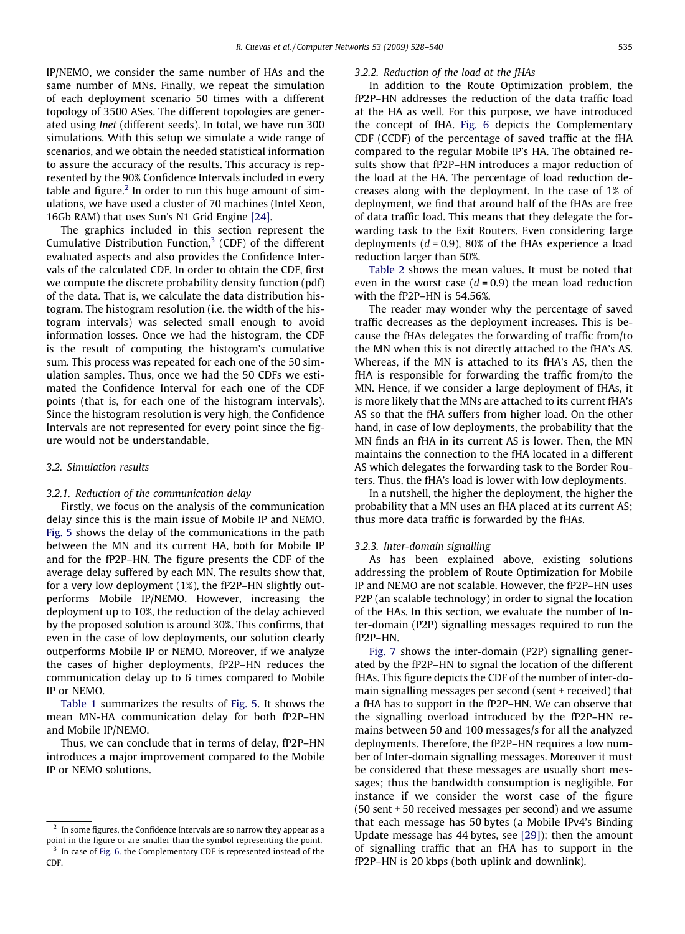IP/NEMO, we consider the same number of HAs and the same number of MNs. Finally, we repeat the simulation of each deployment scenario 50 times with a different topology of 3500 ASes. The different topologies are generated using Inet (different seeds). In total, we have run 300 simulations. With this setup we simulate a wide range of scenarios, and we obtain the needed statistical information to assure the accuracy of the results. This accuracy is represented by the 90% Confidence Intervals included in every table and figure.<sup>2</sup> In order to run this huge amount of simulations, we have used a cluster of 70 machines (Intel Xeon, 16Gb RAM) that uses Sun's N1 Grid Engine [\[24\].](#page-11-0)

The graphics included in this section represent the Cumulative Distribution Function, $3$  (CDF) of the different evaluated aspects and also provides the Confidence Intervals of the calculated CDF. In order to obtain the CDF, first we compute the discrete probability density function (pdf) of the data. That is, we calculate the data distribution histogram. The histogram resolution (i.e. the width of the histogram intervals) was selected small enough to avoid information losses. Once we had the histogram, the CDF is the result of computing the histogram's cumulative sum. This process was repeated for each one of the 50 simulation samples. Thus, once we had the 50 CDFs we estimated the Confidence Interval for each one of the CDF points (that is, for each one of the histogram intervals). Since the histogram resolution is very high, the Confidence Intervals are not represented for every point since the figure would not be understandable.

#### 3.2. Simulation results

#### 3.2.1. Reduction of the communication delay

Firstly, we focus on the analysis of the communication delay since this is the main issue of Mobile IP and NEMO. [Fig. 5](#page-8-0) shows the delay of the communications in the path between the MN and its current HA, both for Mobile IP and for the fP2P–HN. The figure presents the CDF of the average delay suffered by each MN. The results show that, for a very low deployment (1%), the fP2P–HN slightly outperforms Mobile IP/NEMO. However, increasing the deployment up to 10%, the reduction of the delay achieved by the proposed solution is around 30%. This confirms, that even in the case of low deployments, our solution clearly outperforms Mobile IP or NEMO. Moreover, if we analyze the cases of higher deployments, fP2P–HN reduces the communication delay up to 6 times compared to Mobile IP or NEMO.

[Table 1](#page-9-0) summarizes the results of [Fig. 5.](#page-8-0) It shows the mean MN-HA communication delay for both fP2P–HN and Mobile IP/NEMO.

Thus, we can conclude that in terms of delay, fP2P–HN introduces a major improvement compared to the Mobile IP or NEMO solutions.

## 3.2.2. Reduction of the load at the fHAs

In addition to the Route Optimization problem, the fP2P–HN addresses the reduction of the data traffic load at the HA as well. For this purpose, we have introduced the concept of fHA. [Fig. 6](#page-9-0) depicts the Complementary CDF (CCDF) of the percentage of saved traffic at the fHA compared to the regular Mobile IP's HA. The obtained results show that fP2P–HN introduces a major reduction of the load at the HA. The percentage of load reduction decreases along with the deployment. In the case of 1% of deployment, we find that around half of the fHAs are free of data traffic load. This means that they delegate the forwarding task to the Exit Routers. Even considering large deployments  $(d = 0.9)$ , 80% of the fHAs experience a load reduction larger than 50%.

[Table 2](#page-9-0) shows the mean values. It must be noted that even in the worst case  $(d = 0.9)$  the mean load reduction with the fP2P–HN is 54.56%.

The reader may wonder why the percentage of saved traffic decreases as the deployment increases. This is because the fHAs delegates the forwarding of traffic from/to the MN when this is not directly attached to the fHA's AS. Whereas, if the MN is attached to its fHA's AS, then the fHA is responsible for forwarding the traffic from/to the MN. Hence, if we consider a large deployment of fHAs, it is more likely that the MNs are attached to its current fHA's AS so that the fHA suffers from higher load. On the other hand, in case of low deployments, the probability that the MN finds an fHA in its current AS is lower. Then, the MN maintains the connection to the fHA located in a different AS which delegates the forwarding task to the Border Routers. Thus, the fHA's load is lower with low deployments.

In a nutshell, the higher the deployment, the higher the probability that a MN uses an fHA placed at its current AS; thus more data traffic is forwarded by the fHAs.

## 3.2.3. Inter-domain signalling

As has been explained above, existing solutions addressing the problem of Route Optimization for Mobile IP and NEMO are not scalable. However, the fP2P–HN uses P2P (an scalable technology) in order to signal the location of the HAs. In this section, we evaluate the number of Inter-domain (P2P) signalling messages required to run the fP2P–HN.

[Fig. 7](#page-9-0) shows the inter-domain (P2P) signalling generated by the fP2P–HN to signal the location of the different fHAs. This figure depicts the CDF of the number of inter-domain signalling messages per second (sent + received) that a fHA has to support in the fP2P–HN. We can observe that the signalling overload introduced by the fP2P–HN remains between 50 and 100 messages/s for all the analyzed deployments. Therefore, the fP2P–HN requires a low number of Inter-domain signalling messages. Moreover it must be considered that these messages are usually short messages; thus the bandwidth consumption is negligible. For instance if we consider the worst case of the figure (50 sent + 50 received messages per second) and we assume that each message has 50 bytes (a Mobile IPv4's Binding Update message has 44 bytes, see [\[29\]\)](#page-12-0); then the amount of signalling traffic that an fHA has to support in the fP2P–HN is 20 kbps (both uplink and downlink).

 $2\,$  In some figures, the Confidence Intervals are so narrow they appear as a point in the figure or are smaller than the symbol representing the point. <sup>3</sup> In case of [Fig. 6.](#page-9-0) the Complementary CDF is represented instead of the

CDF.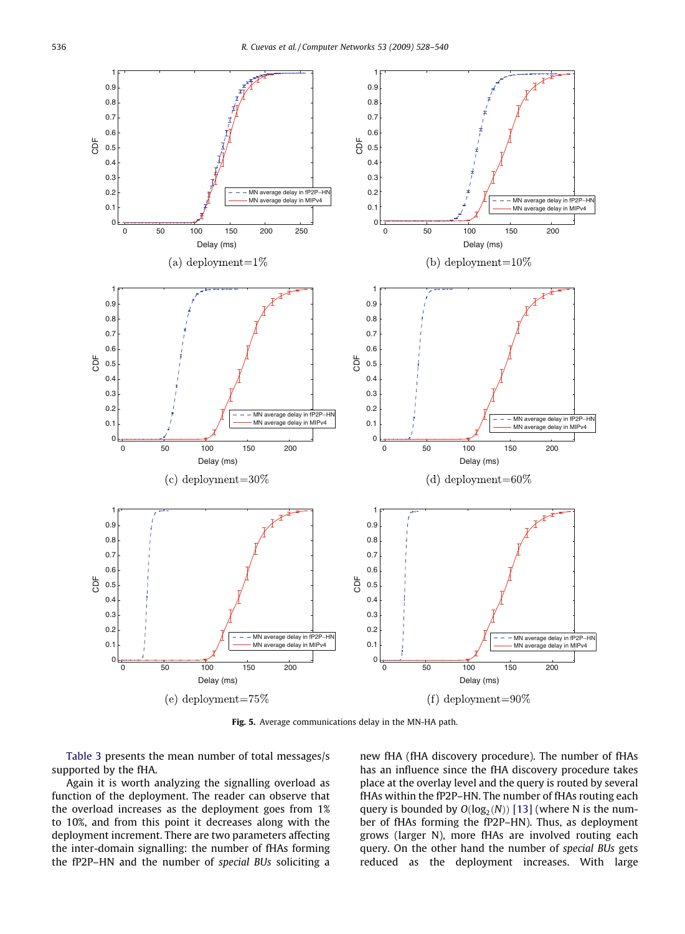<span id="page-8-0"></span>

Fig. 5. Average communications delay in the MN-HA path.

[Table 3](#page-9-0) presents the mean number of total messages/s supported by the fHA.

Again it is worth analyzing the signalling overload as function of the deployment. The reader can observe that the overload increases as the deployment goes from 1% to 10%, and from this point it decreases along with the deployment increment. There are two parameters affecting the inter-domain signalling: the number of fHAs forming the fP2P–HN and the number of special BUs soliciting a

new fHA (fHA discovery procedure). The number of fHAs has an influence since the fHA discovery procedure takes place at the overlay level and the query is routed by several fHAs within the fP2P–HN. The number of fHAs routing each query is bounded by  $O(log_2(N))$  [13] (where N is the number of fHAs forming the fP2P–HN). Thus, as deployment grows (larger N), more fHAs are involved routing each query. On the other hand the number of special BUs gets reduced as the deployment increases. With large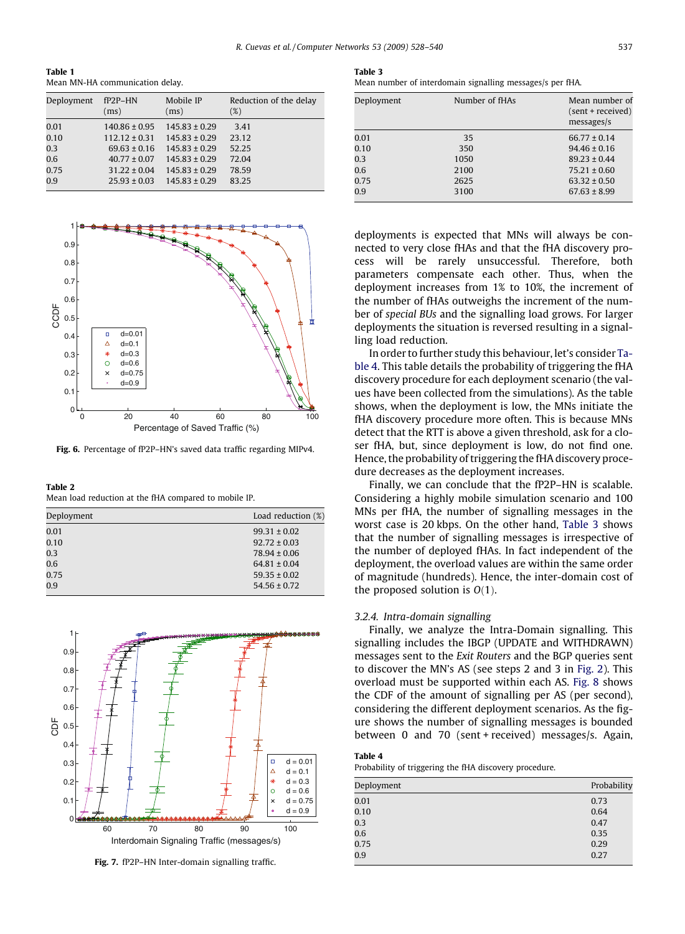<span id="page-9-0"></span>Table 1 Mean MN-HA communication delay.

| Deployment | fP2P-HN<br>(ms)   | Mobile IP<br>(ms) | Reduction of the delay<br>(%) |
|------------|-------------------|-------------------|-------------------------------|
| 0.01       | $140.86 \pm 0.95$ | $145.83 \pm 0.29$ | 3.41                          |
| 0.10       | $112.12 \pm 0.31$ | $145.83 \pm 0.29$ | 23.12                         |
| 0.3        | $69.63 \pm 0.16$  | $145.83 \pm 0.29$ | 52.25                         |
| 0.6        | $40.77 \pm 0.07$  | $145.83 \pm 0.29$ | 72.04                         |
| 0.75       | $31.22 \pm 0.04$  | $145.83 \pm 0.29$ | 78.59                         |
| 0.9        | $25.93 \pm 0.03$  | $145.83 \pm 0.29$ | 83.25                         |



Fig. 6. Percentage of fP2P–HN's saved data traffic regarding MIPv4.

Table 2 Mean load reduction at the fHA compared to mobile IP.

| Deployment | Load reduction (%) |  |  |
|------------|--------------------|--|--|
| 0.01       | $99.31 \pm 0.02$   |  |  |
| 0.10       | $92.72 \pm 0.03$   |  |  |
| 0.3        | $78.94 \pm 0.06$   |  |  |
| 0.6        | $64.81 \pm 0.04$   |  |  |
| 0.75       | $59.35 \pm 0.02$   |  |  |
| 0.9        | $54.56 \pm 0.72$   |  |  |



Fig. 7. fP2P–HN Inter-domain signalling traffic.

| $\sim$ | . . | $\sim$ |
|--------|-----|--------|
|--------|-----|--------|

Mean number of interdomain signalling messages/s per fHA.

| Deployment | Number of fHAs | Mean number of<br>(sent + received)<br>messages/s |
|------------|----------------|---------------------------------------------------|
| 0.01       | 35             | $66.77 \pm 0.14$                                  |
| 0.10       | 350            | $94.46 \pm 0.16$                                  |
| 0.3        | 1050           | $89.23 \pm 0.44$                                  |
| 0.6        | 2100           | $75.21 \pm 0.60$                                  |
| 0.75       | 2625           | $63.32 \pm 0.50$                                  |
| 0.9        | 3100           | $67.63 \pm 8.99$                                  |

deployments is expected that MNs will always be connected to very close fHAs and that the fHA discovery process will be rarely unsuccessful. Therefore, both parameters compensate each other. Thus, when the deployment increases from 1% to 10%, the increment of the number of fHAs outweighs the increment of the number of special BUs and the signalling load grows. For larger deployments the situation is reversed resulting in a signalling load reduction.

In order to further study this behaviour, let's consider Table 4. This table details the probability of triggering the fHA discovery procedure for each deployment scenario (the values have been collected from the simulations). As the table shows, when the deployment is low, the MNs initiate the fHA discovery procedure more often. This is because MNs detect that the RTT is above a given threshold, ask for a closer fHA, but, since deployment is low, do not find one. Hence, the probability of triggering the fHA discovery procedure decreases as the deployment increases.

Finally, we can conclude that the fP2P–HN is scalable. Considering a highly mobile simulation scenario and 100 MNs per fHA, the number of signalling messages in the worst case is 20 kbps. On the other hand, Table 3 shows that the number of signalling messages is irrespective of the number of deployed fHAs. In fact independent of the deployment, the overload values are within the same order of magnitude (hundreds). Hence, the inter-domain cost of the proposed solution is  $O(1)$ .

#### 3.2.4. Intra-domain signalling

Finally, we analyze the Intra-Domain signalling. This signalling includes the IBGP (UPDATE and WITHDRAWN) messages sent to the Exit Routers and the BGP queries sent to discover the MN's AS (see steps 2 and 3 in [Fig. 2\)](#page-3-0). This overload must be supported within each AS. [Fig. 8](#page-10-0) shows the CDF of the amount of signalling per AS (per second), considering the different deployment scenarios. As the figure shows the number of signalling messages is bounded between 0 and 70 (sent + received) messages/s. Again,

Table 4

Probability of triggering the fHA discovery procedure.

| Deployment | Probability |
|------------|-------------|
| 0.01       | 0.73        |
| 0.10       | 0.64        |
| 0.3        | 0.47        |
| 0.6        | 0.35        |
| 0.75       | 0.29        |
| 0.9        | 0.27        |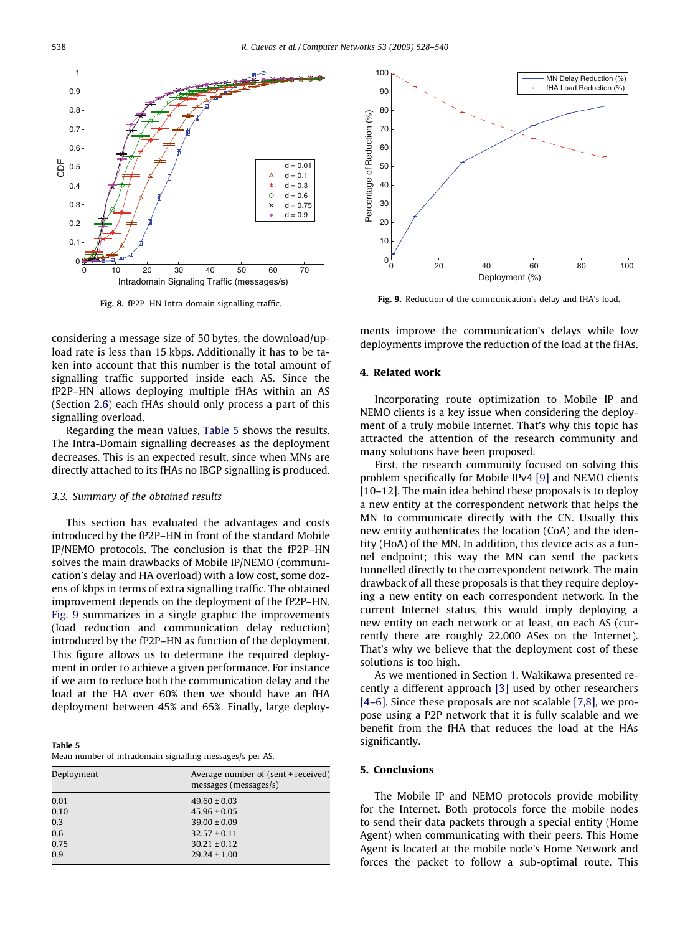<span id="page-10-0"></span>

Fig. 8. fP2P-HN Intra-domain signalling traffic.

considering a message size of 50 bytes, the download/upload rate is less than 15 kbps. Additionally it has to be taken into account that this number is the total amount of signalling traffic supported inside each AS. Since the fP2P–HN allows deploying multiple fHAs within an AS (Section 2.6) each fHAs should only process a part of this signalling overload.

Regarding the mean values, Table 5 shows the results. The Intra-Domain signalling decreases as the deployment decreases. This is an expected result, since when MNs are directly attached to its fHAs no IBGP signalling is produced.

#### 3.3. Summary of the obtained results

This section has evaluated the advantages and costs introduced by the fP2P–HN in front of the standard Mobile IP/NEMO protocols. The conclusion is that the fP2P–HN solves the main drawbacks of Mobile IP/NEMO (communication's delay and HA overload) with a low cost, some dozens of kbps in terms of extra signalling traffic. The obtained improvement depends on the deployment of the fP2P–HN. Fig. 9 summarizes in a single graphic the improvements (load reduction and communication delay reduction) introduced by the fP2P–HN as function of the deployment. This figure allows us to determine the required deployment in order to achieve a given performance. For instance if we aim to reduce both the communication delay and the load at the HA over 60% then we should have an fHA deployment between 45% and 65%. Finally, large deploy-

| Table 5 |                                                          |  |  |
|---------|----------------------------------------------------------|--|--|
|         | Mean number of intradomain signalling messages/s per AS. |  |  |

| Deployment | Average number of (sent + received)<br>messages (messages/s) |
|------------|--------------------------------------------------------------|
| 0.01       | $49.60 \pm 0.03$                                             |
| 0.10       | $45.96 \pm 0.05$                                             |
| 0.3        | $39.00 \pm 0.09$                                             |
| 0.6        | $32.57 \pm 0.11$                                             |
| 0.75       | $30.21 \pm 0.12$                                             |
| 0.9        | $29.24 \pm 1.00$                                             |



Fig. 9. Reduction of the communication's delay and fHA's load.

ments improve the communication's delays while low deployments improve the reduction of the load at the fHAs.

### 4. Related work

Incorporating route optimization to Mobile IP and NEMO clients is a key issue when considering the deployment of a truly mobile Internet. That's why this topic has attracted the attention of the research community and many solutions have been proposed.

First, the research community focused on solving this problem specifically for Mobile IPv4 [\[9\]](#page-11-0) and NEMO clients [10–12]. The main idea behind these proposals is to deploy a new entity at the correspondent network that helps the MN to communicate directly with the CN. Usually this new entity authenticates the location (CoA) and the identity (HoA) of the MN. In addition, this device acts as a tunnel endpoint; this way the MN can send the packets tunnelled directly to the correspondent network. The main drawback of all these proposals is that they require deploying a new entity on each correspondent network. In the current Internet status, this would imply deploying a new entity on each network or at least, on each AS (currently there are roughly 22.000 ASes on the Internet). That's why we believe that the deployment cost of these solutions is too high.

As we mentioned in Section 1, Wakikawa presented recently a different approach [\[3\]](#page-11-0) used by other researchers [\[4–6\]](#page-11-0). Since these proposals are not scalable [\[7,8\]](#page-11-0), we propose using a P2P network that it is fully scalable and we benefit from the fHA that reduces the load at the HAs significantly.

# 5. Conclusions

The Mobile IP and NEMO protocols provide mobility for the Internet. Both protocols force the mobile nodes to send their data packets through a special entity (Home Agent) when communicating with their peers. This Home Agent is located at the mobile node's Home Network and forces the packet to follow a sub-optimal route. This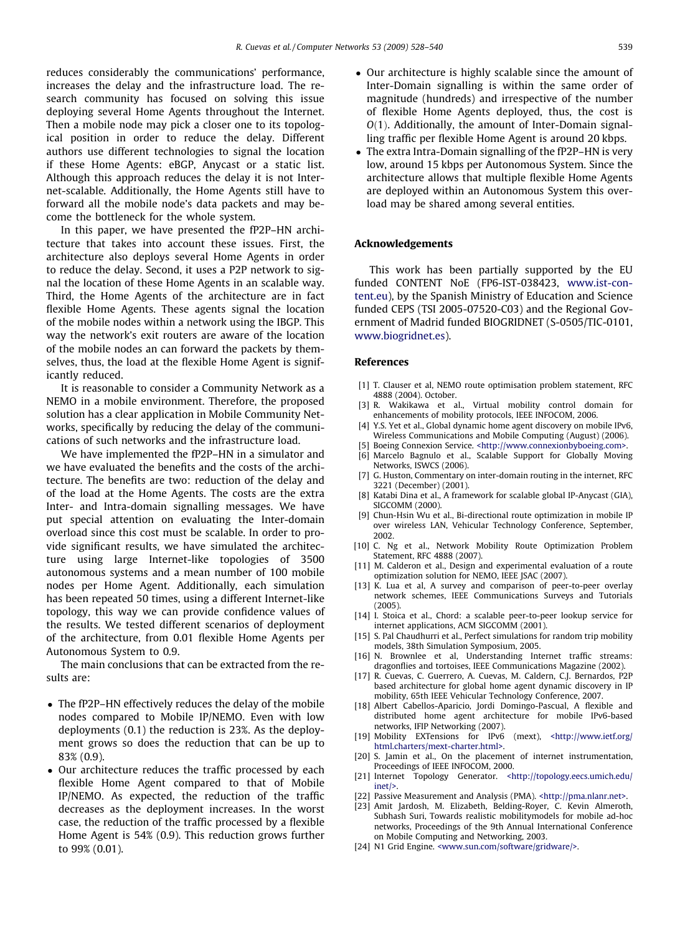<span id="page-11-0"></span>reduces considerably the communications' performance, increases the delay and the infrastructure load. The research community has focused on solving this issue deploying several Home Agents throughout the Internet. Then a mobile node may pick a closer one to its topological position in order to reduce the delay. Different authors use different technologies to signal the location if these Home Agents: eBGP, Anycast or a static list. Although this approach reduces the delay it is not Internet-scalable. Additionally, the Home Agents still have to forward all the mobile node's data packets and may become the bottleneck for the whole system.

In this paper, we have presented the fP2P–HN architecture that takes into account these issues. First, the architecture also deploys several Home Agents in order to reduce the delay. Second, it uses a P2P network to signal the location of these Home Agents in an scalable way. Third, the Home Agents of the architecture are in fact flexible Home Agents. These agents signal the location of the mobile nodes within a network using the IBGP. This way the network's exit routers are aware of the location of the mobile nodes an can forward the packets by themselves, thus, the load at the flexible Home Agent is significantly reduced.

It is reasonable to consider a Community Network as a NEMO in a mobile environment. Therefore, the proposed solution has a clear application in Mobile Community Networks, specifically by reducing the delay of the communications of such networks and the infrastructure load.

We have implemented the fP2P–HN in a simulator and we have evaluated the benefits and the costs of the architecture. The benefits are two: reduction of the delay and of the load at the Home Agents. The costs are the extra Inter- and Intra-domain signalling messages. We have put special attention on evaluating the Inter-domain overload since this cost must be scalable. In order to provide significant results, we have simulated the architecture using large Internet-like topologies of 3500 autonomous systems and a mean number of 100 mobile nodes per Home Agent. Additionally, each simulation has been repeated 50 times, using a different Internet-like topology, this way we can provide confidence values of the results. We tested different scenarios of deployment of the architecture, from 0.01 flexible Home Agents per Autonomous System to 0.9.

The main conclusions that can be extracted from the results are:

- The fP2P–HN effectively reduces the delay of the mobile nodes compared to Mobile IP/NEMO. Even with low deployments (0.1) the reduction is 23%. As the deployment grows so does the reduction that can be up to 83% (0.9).
- Our architecture reduces the traffic processed by each flexible Home Agent compared to that of Mobile IP/NEMO. As expected, the reduction of the traffic decreases as the deployment increases. In the worst case, the reduction of the traffic processed by a flexible Home Agent is 54% (0.9). This reduction grows further to 99% (0.01).
- Our architecture is highly scalable since the amount of Inter-Domain signalling is within the same order of magnitude (hundreds) and irrespective of the number of flexible Home Agents deployed, thus, the cost is  $O(1)$ . Additionally, the amount of Inter-Domain signalling traffic per flexible Home Agent is around 20 kbps.
- The extra Intra-Domain signalling of the fP2P–HN is very low, around 15 kbps per Autonomous System. Since the architecture allows that multiple flexible Home Agents are deployed within an Autonomous System this overload may be shared among several entities.

### Acknowledgements

This work has been partially supported by the EU funded CONTENT NoE (FP6-IST-038423, [www.ist-con](http://www.ist-content.eu)[tent.eu](http://www.ist-content.eu)), by the Spanish Ministry of Education and Science funded CEPS (TSI 2005-07520-C03) and the Regional Government of Madrid funded BIOGRIDNET (S-0505/TIC-0101, [www.biogridnet.es\)](http://www.biogridnet.es).

#### References

- [1] T. Clauser et al, NEMO route optimisation problem statement, RFC 4888 (2004). October.
- [3] R. Wakikawa et al., Virtual mobility control domain for enhancements of mobility protocols, IEEE INFOCOM, 2006.
- [4] Y.S. Yet et al., Global dynamic home agent discovery on mobile IPv6, Wireless Communications and Mobile Computing (August) (2006).
- [5] Boeing Connexion Service. [<http://www.connexionbyboeing.com>.](http://www.connexionbyboeing.com) [6] Marcelo Bagnulo et al., Scalable Support for Globally Moving Networks, ISWCS (2006).
- [7] G. Huston, Commentary on inter-domain routing in the internet, RFC 3221 (December) (2001).
- [8] Katabi Dina et al., A framework for scalable global IP-Anycast (GIA), SIGCOMM (2000).
- [9] Chun-Hsin Wu et al., Bi-directional route optimization in mobile IP over wireless LAN, Vehicular Technology Conference, September, 2002.
- [10] C. Ng et al., Network Mobility Route Optimization Problem Statement, RFC 4888 (2007).
- [11] M. Calderon et al., Design and experimental evaluation of a route optimization solution for NEMO, IEEE JSAC (2007).
- [13] K. Lua et al, A survey and comparison of peer-to-peer overlay network schemes, IEEE Communications Surveys and Tutorials (2005).
- [14] I. Stoica et al., Chord: a scalable peer-to-peer lookup service for internet applications, ACM SIGCOMM (2001).
- [15] S. Pal Chaudhurri et al., Perfect simulations for random trip mobility models, 38th Simulation Symposium, 2005.
- [16] N. Brownlee et al, Understanding Internet traffic streams: dragonflies and tortoises, IEEE Communications Magazine (2002).
- [17] R. Cuevas, C. Guerrero, A. Cuevas, M. Caldern, C.J. Bernardos, P2P based architecture for global home agent dynamic discovery in IP mobility, 65th IEEE Vehicular Technology Conference, 2007.
- [18] Albert Cabellos-Aparicio, Jordi Domingo-Pascual, A flexible and distributed home agent architecture for mobile IPv6-based networks, IFIP Networking (2007).
- [19] Mobility EXTensions for IPv6 (mext), [<http://www.ietf.org/](http://www.ietf.org/html.charters/mext-charter.html) [html.charters/mext-charter.html>.](http://www.ietf.org/html.charters/mext-charter.html)
- [20] S. Jamin et al., On the placement of internet instrumentation, Proceedings of IEEE INFOCOM, 2000.
- [21] Internet Topology Generator. [<http://topology.eecs.umich.edu/](http://topology.eecs.umich.edu/inet/) [inet/>](http://topology.eecs.umich.edu/inet/).
- [22] Passive Measurement and Analysis (PMA). [<http://pma.nlanr.net>.](http://pma.nlanr.net)
- [23] Amit Jardosh, M. Elizabeth, Belding-Royer, C. Kevin Almeroth, Subhash Suri, Towards realistic mobilitymodels for mobile ad-hoc networks, Proceedings of the 9th Annual International Conference on Mobile Computing and Networking, 2003.
- [24] N1 Grid Engine. [<www.sun.com/software/gridware/>.](http://www.sun.com/software/gridware/)